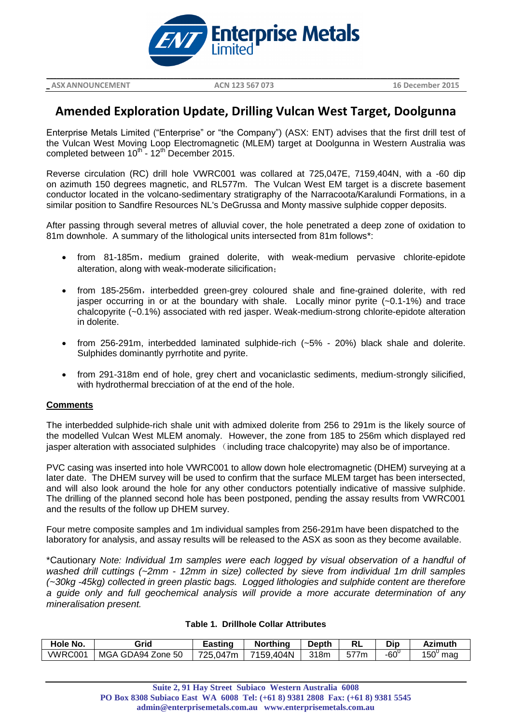

**\_ ASXANNOUNCEMENT ACN 123 567 073 16 December 2015**

**\_\_\_\_\_\_\_\_\_\_\_\_\_\_\_\_\_\_\_\_\_\_\_\_\_\_\_\_\_\_\_\_\_\_\_\_\_\_\_\_\_\_\_\_\_\_\_\_\_\_\_\_\_\_\_\_\_\_\_\_\_\_\_\_\_\_\_\_\_\_\_\_\_\_\_\_\_\_\_\_\_\_\_\_\_\_\_\_\_\_\_\_\_\_\_\_\_\_\_\_\_\_\_\_\_\_\_\_\_\_\_\_\_\_\_\_\_\_\_\_**

# **Amended Exploration Update, Drilling Vulcan West Target, Doolgunna**

Enterprise Metals Limited ("Enterprise" or "the Company") (ASX: ENT) advises that the first drill test of the Vulcan West Moving Loop Electromagnetic (MLEM) target at Doolgunna in Western Australia was completed between  $10^{th}$  -  $12^{th}$  December 2015.

Reverse circulation (RC) drill hole VWRC001 was collared at 725,047E, 7159,404N, with a -60 dip on azimuth 150 degrees magnetic, and RL577m. The Vulcan West EM target is a discrete basement conductor located in the volcano-sedimentary stratigraphy of the Narracoota/Karalundi Formations, in a similar position to Sandfire Resources NL's DeGrussa and Monty massive sulphide copper deposits.

After passing through several metres of alluvial cover, the hole penetrated a deep zone of oxidation to 81m downhole. A summary of the lithological units intersected from 81m follows\*:

- from 81-185m, medium grained dolerite, with weak-medium pervasive chlorite-epidote alteration, along with weak-moderate silicification;
- from 185-256m, interbedded green-grey coloured shale and fine-grained dolerite, with red jasper occurring in or at the boundary with shale. Locally minor pyrite (~0.1-1%) and trace chalcopyrite (~0.1%) associated with red jasper. Weak-medium-strong chlorite-epidote alteration in dolerite.
- from 256-291m, interbedded laminated sulphide-rich (~5% 20%) black shale and dolerite. Sulphides dominantly pyrrhotite and pyrite.
- from 291-318m end of hole, grey chert and vocaniclastic sediments, medium-strongly silicified, with hydrothermal brecciation of at the end of the hole.

#### **Comments**

The interbedded sulphide-rich shale unit with admixed dolerite from 256 to 291m is the likely source of the modelled Vulcan West MLEM anomaly. However, the zone from 185 to 256m which displayed red jasper alteration with associated sulphides (including trace chalcopyrite) may also be of importance.

PVC casing was inserted into hole VWRC001 to allow down hole electromagnetic (DHEM) surveying at a later date. The DHEM survey will be used to confirm that the surface MLEM target has been intersected, and will also look around the hole for any other conductors potentially indicative of massive sulphide. The drilling of the planned second hole has been postponed, pending the assay results from VWRC001 and the results of the follow up DHEM survey.

Four metre composite samples and 1m individual samples from 256-291m have been dispatched to the laboratory for analysis, and assay results will be released to the ASX as soon as they become available.

\*Cautionary *Note: Individual 1m samples were each logged by visual observation of a handful of washed drill cuttings (~2mm - 12mm in size) collected by sieve from individual 1m drill samples (~30kg -45kg) collected in green plastic bags. Logged lithologies and sulphide content are therefore a guide only and full geochemical analysis will provide a more accurate determination of any mineralisation present.*

|  |  |  | <b>Table 1. Drillhole Collar Attributes</b> |
|--|--|--|---------------------------------------------|
|--|--|--|---------------------------------------------|

| Hole No.       | Grid              | Eastinɑ  | <b>Northing</b> | <b>Depth</b> |      | Dip         | Azimuth            |
|----------------|-------------------|----------|-----------------|--------------|------|-------------|--------------------|
| <b>VWRC001</b> | MGA GDA94 Zone 50 | 725,047m | 7159,404N       | 318m         | 577m | $-60^\circ$ | $150^\circ$<br>mag |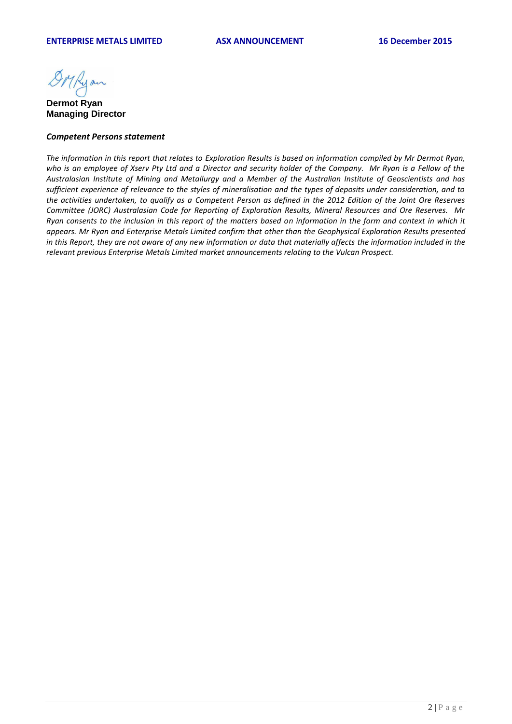DMRyan

**Dermot Ryan Managing Director** 

#### *Competent Persons statement*

*The information in this report that relates to Exploration Results is based on information compiled by Mr Dermot Ryan, who is an employee of Xserv Pty Ltd and a Director and security holder of the Company. Mr Ryan is a Fellow of the Australasian Institute of Mining and Metallurgy and a Member of the Australian Institute of Geoscientists and has sufficient experience of relevance to the styles of mineralisation and the types of deposits under consideration, and to the activities undertaken, to qualify as a Competent Person as defined in the 2012 Edition of the Joint Ore Reserves Committee (JORC) Australasian Code for Reporting of Exploration Results, Mineral Resources and Ore Reserves. Mr Ryan consents to the inclusion in this report of the matters based on information in the form and context in which it appears. Mr Ryan and Enterprise Metals Limited confirm that other than the Geophysical Exploration Results presented in this Report, they are not aware of any new information or data that materially affects the information included in the relevant previous Enterprise Metals Limited market announcements relating to the Vulcan Prospect.*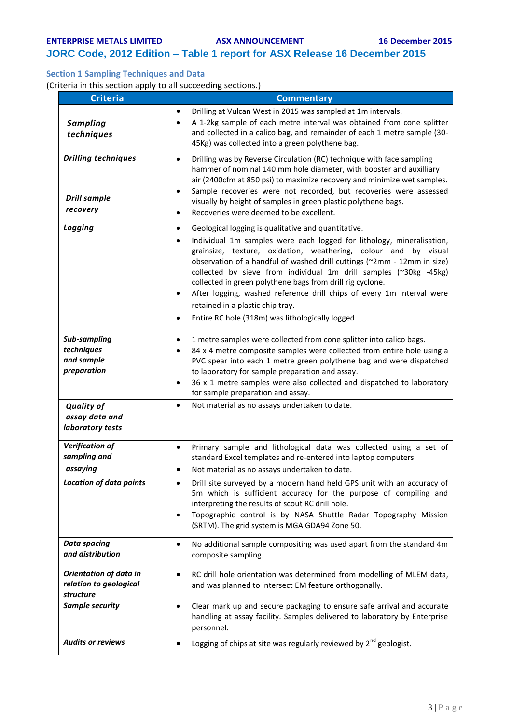## **JORC Code, 2012 Edition – Table 1 report for ASX Release 16 December 2015**

### **Section 1 Sampling Techniques and Data**

(Criteria in this section apply to all succeeding sections.)

| <b>Criteria</b>                                                      | <b>Commentary</b>                                                                                                                                                                                                                                                                                                                                                                                                                                                                                                                                                                                            |
|----------------------------------------------------------------------|--------------------------------------------------------------------------------------------------------------------------------------------------------------------------------------------------------------------------------------------------------------------------------------------------------------------------------------------------------------------------------------------------------------------------------------------------------------------------------------------------------------------------------------------------------------------------------------------------------------|
| <b>Sampling</b><br>techniques                                        | Drilling at Vulcan West in 2015 was sampled at 1m intervals.<br>$\bullet$<br>A 1-2kg sample of each metre interval was obtained from cone splitter<br>and collected in a calico bag, and remainder of each 1 metre sample (30-<br>45Kg) was collected into a green polythene bag.                                                                                                                                                                                                                                                                                                                            |
| <b>Drilling techniques</b>                                           | Drilling was by Reverse Circulation (RC) technique with face sampling<br>$\bullet$<br>hammer of nominal 140 mm hole diameter, with booster and auxilliary<br>air (2400cfm at 850 psi) to maximize recovery and minimize wet samples.                                                                                                                                                                                                                                                                                                                                                                         |
| <b>Drill sample</b><br>recovery                                      | Sample recoveries were not recorded, but recoveries were assessed<br>$\bullet$<br>visually by height of samples in green plastic polythene bags.<br>Recoveries were deemed to be excellent.<br>٠                                                                                                                                                                                                                                                                                                                                                                                                             |
| Logging                                                              | Geological logging is qualitative and quantitative.<br>$\bullet$<br>Individual 1m samples were each logged for lithology, mineralisation,<br>٠<br>grainsize, texture, oxidation, weathering, colour and by visual<br>observation of a handful of washed drill cuttings (~2mm - 12mm in size)<br>collected by sieve from individual 1m drill samples (~30kg -45kg)<br>collected in green polythene bags from drill rig cyclone.<br>After logging, washed reference drill chips of every 1m interval were<br>retained in a plastic chip tray.<br>Entire RC hole (318m) was lithologically logged.<br>$\bullet$ |
| Sub-sampling<br>techniques<br>and sample<br>preparation              | 1 metre samples were collected from cone splitter into calico bags.<br>84 x 4 metre composite samples were collected from entire hole using a<br>PVC spear into each 1 metre green polythene bag and were dispatched<br>to laboratory for sample preparation and assay.<br>36 x 1 metre samples were also collected and dispatched to laboratory<br>for sample preparation and assay.                                                                                                                                                                                                                        |
| <b>Quality of</b><br>assay data and<br>laboratory tests              | Not material as no assays undertaken to date.<br>$\bullet$                                                                                                                                                                                                                                                                                                                                                                                                                                                                                                                                                   |
| <b>Verification of</b><br>sampling and<br>assaying                   | Primary sample and lithological data was collected using a set of<br>$\bullet$<br>standard Excel templates and re-entered into laptop computers.<br>Not material as no assays undertaken to date.                                                                                                                                                                                                                                                                                                                                                                                                            |
| <b>Location of data points</b>                                       | Drill site surveyed by a modern hand held GPS unit with an accuracy of<br>٠<br>5m which is sufficient accuracy for the purpose of compiling and<br>interpreting the results of scout RC drill hole.<br>Topographic control is by NASA Shuttle Radar Topography Mission<br>(SRTM). The grid system is MGA GDA94 Zone 50.                                                                                                                                                                                                                                                                                      |
| <b>Data spacing</b><br>and distribution                              | No additional sample compositing was used apart from the standard 4m<br>٠<br>composite sampling.                                                                                                                                                                                                                                                                                                                                                                                                                                                                                                             |
| <b>Orientation of data in</b><br>relation to geological<br>structure | RC drill hole orientation was determined from modelling of MLEM data,<br>٠<br>and was planned to intersect EM feature orthogonally.                                                                                                                                                                                                                                                                                                                                                                                                                                                                          |
| Sample security                                                      | Clear mark up and secure packaging to ensure safe arrival and accurate<br>$\bullet$<br>handling at assay facility. Samples delivered to laboratory by Enterprise<br>personnel.                                                                                                                                                                                                                                                                                                                                                                                                                               |
| <b>Audits or reviews</b>                                             | Logging of chips at site was regularly reviewed by 2 <sup>nd</sup> geologist.<br>$\bullet$                                                                                                                                                                                                                                                                                                                                                                                                                                                                                                                   |